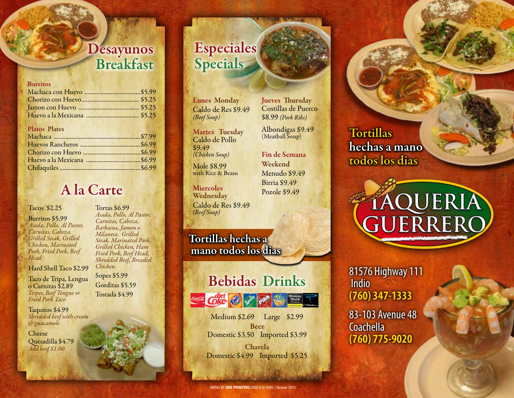#### Desayunos Breakfast

#### Burritos Machaca con Huevo ......................................\$5.99 Chorizo con Huevo....................................... \$5.25 Jamon con Huevo ......................................... \$5.25 Huevo a la Mexicana .................................... \$5.25 Platos Plates Machaca ...........................................................\$7.99 Huevos Rancheros .........................................\$6.99 Chorizo con Huevo .......................................\$6.99 Huevo a la Mexicana .....................................\$6.99 Chilaquiles .......................................................\$6.99

#### A la Carte

Tacos \$2.25

Burritos \$5.99 *Asada, Pollo, Al Pastor, Carnitas, Cabeza. Grilled Steak, Grilled Chicken, Marinated Pork, Fried Pork, Beef Head*

Hard Shell Taco \$2.99

Taco de Tripa, Lengua o Carnitas \$2.89 *Tripes, Beef Tongue or Fried Pork Taco*

Taquitos \$4.99 *Shredded beef with cream & guacamole*

**Cheese** Quesadilla \$4.79 *Add beef \$1.00*

#### Tortas \$6.99 *Asada, Pollo, Al Pastor, Carnitas, Cabeza, Barbacoa, Jamon o Milanesa. Grilled*

*Steak, Marinated Pork, Grilled Chicken, Ham Fried Pork, Beef Head, Shredded Beef, Breaded Chicken.*

Sopes \$5.99 Gorditas \$5.59 Tostada \$4.99

# Especiales **Specials**

Lunes Monday Caldo de Res \$9.49 *(Beef Soup)*

Martes Tuesday Caldo de Pollo \$9.49 *(Chicken Soup)*

Mole \$8.99 with Rice & Beans

**Miercoles** Wednesday Caldo de Res \$9.49 *(Beef Soup)*

Tortillas hechas a mano todos los dias

## Bebidas Drinks



Medium \$2.69 Large \$2.99 Beer Domestic \$3.50 Imported \$3.99

Chavela Domestic \$4.99 Imported \$5.25

Costillas de Puerco \$8.99 *(Pork Ribs)* Albondigas \$9.49

Fin de Semana Weekend Menudo \$9.49 Birria \$9.49

Jueves Thursday

(Meatball Soup)

Pozole \$9.49

**Tortillas** hechas a mano todos los dias



81576 Highway 111 Indio **(760) 347-1333**

83-103 Avenue 48 **Coachella (760) 775-9020**